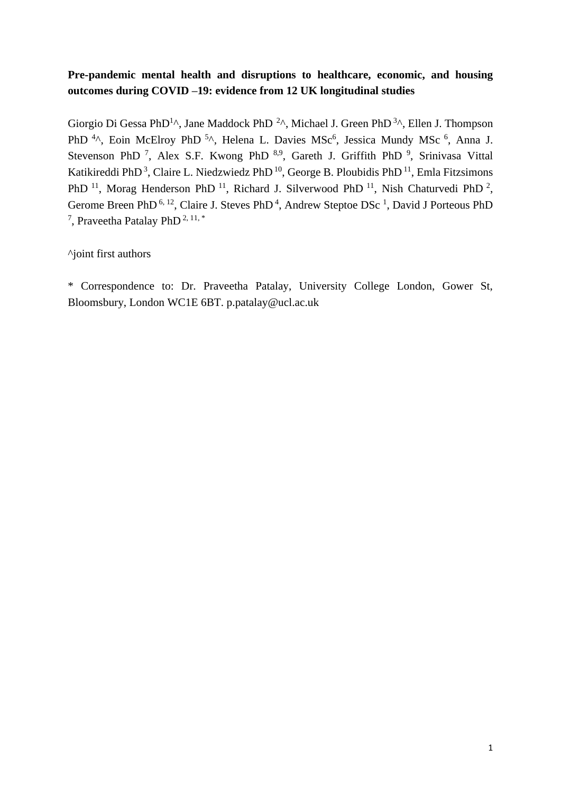# **Pre-pandemic mental health and disruptions to healthcare, economic, and housing outcomes during COVID –19: evidence from 12 UK longitudinal studies**

Giorgio Di Gessa PhD<sup>1</sup>^, Jane Maddock PhD<sup>2</sup>^, Michael J. Green PhD<sup>3</sup>^, Ellen J. Thompson PhD<sup>4</sup>^, Eoin McElroy PhD<sup>5</sup>^, Helena L. Davies MSc<sup>6</sup>, Jessica Mundy MSc<sup>6</sup>, Anna J. Stevenson PhD<sup>7</sup>, Alex S.F. Kwong PhD<sup>8,9</sup>, Gareth J. Griffith PhD<sup>9</sup>, Srinivasa Vittal Katikireddi PhD<sup>3</sup>, Claire L. Niedzwiedz PhD<sup>10</sup>, George B. Ploubidis PhD<sup>11</sup>, Emla Fitzsimons PhD<sup>11</sup>, Morag Henderson PhD<sup>11</sup>, Richard J. Silverwood PhD<sup>11</sup>, Nish Chaturvedi PhD<sup>2</sup>, Gerome Breen PhD<sup>6, 12</sup>, Claire J. Steves PhD<sup>4</sup>, Andrew Steptoe DSc<sup>1</sup>, David J Porteous PhD <sup>7</sup>, Praveetha Patalay PhD<sup>2, 11,\*</sup>

^joint first authors

\* Correspondence to: Dr. Praveetha Patalay, University College London, Gower St, Bloomsbury, London WC1E 6BT. p.patalay@ucl.ac.uk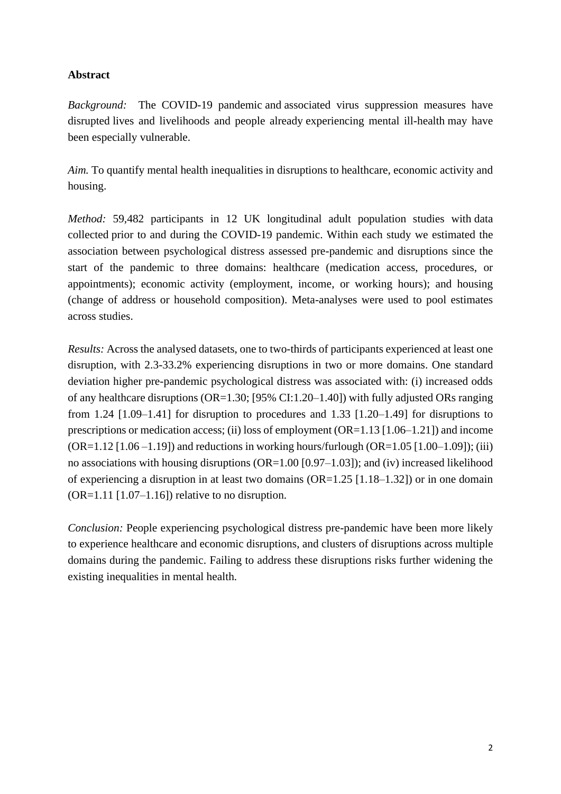## **Abstract**

*Background:* The COVID-19 pandemic and associated virus suppression measures have disrupted lives and livelihoods and people already experiencing mental ill-health may have been especially vulnerable.

*Aim.* To quantify mental health inequalities in disruptions to healthcare, economic activity and housing.

*Method:* 59,482 participants in 12 UK longitudinal adult population studies with data collected prior to and during the COVID-19 pandemic. Within each study we estimated the association between psychological distress assessed pre-pandemic and disruptions since the start of the pandemic to three domains: healthcare (medication access, procedures, or appointments); economic activity (employment, income, or working hours); and housing (change of address or household composition). Meta-analyses were used to pool estimates across studies.

*Results:* Across the analysed datasets, one to two-thirds of participants experienced at least one disruption, with 2.3-33.2% experiencing disruptions in two or more domains. One standard deviation higher pre-pandemic psychological distress was associated with: (i) increased odds of any healthcare disruptions (OR=1.30; [95% CI:1.20–1.40]) with fully adjusted ORs ranging from 1.24  $[1.09-1.41]$  for disruption to procedures and 1.33  $[1.20-1.49]$  for disruptions to prescriptions or medication access; (ii) loss of employment (OR=1.13 [1.06–1.21]) and income  $(OR=1.12 [1.06 -1.19])$  and reductions in working hours/furlough  $(OR=1.05 [1.00 -1.09])$ ; (iii) no associations with housing disruptions (OR=1.00 [0.97–1.03]); and (iv) increased likelihood of experiencing a disruption in at least two domains (OR=1.25 [1.18–1.32]) or in one domain  $(OR=1.11$   $[1.07-1.16]$  relative to no disruption.

*Conclusion:* People experiencing psychological distress pre-pandemic have been more likely to experience healthcare and economic disruptions, and clusters of disruptions across multiple domains during the pandemic. Failing to address these disruptions risks further widening the existing inequalities in mental health.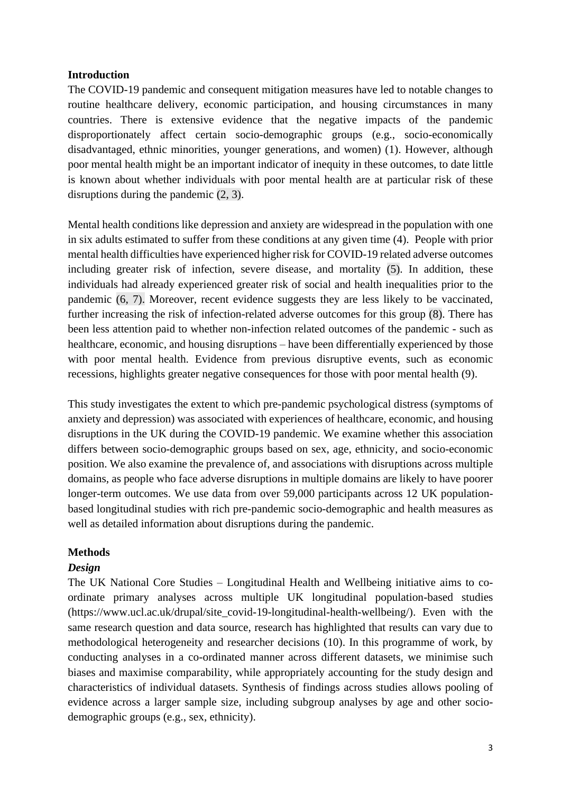## **Introduction**

The COVID-19 pandemic and consequent mitigation measures have led to notable changes to routine healthcare delivery, economic participation, and housing circumstances in many countries. There is extensive evidence that the negative impacts of the pandemic disproportionately affect certain socio-demographic groups (e.g., socio-economically disadvantaged, ethnic minorities, younger generations, and women) (1). However, although poor mental health might be an important indicator of inequity in these outcomes, to date little is known about whether individuals with poor mental health are at particular risk of these disruptions during the pandemic (2, 3).

Mental health conditions like depression and anxiety are widespread in the population with one in six adults estimated to suffer from these conditions at any given time (4). People with prior mental health difficulties have experienced higher risk for COVID-19 related adverse outcomes including greater risk of infection, severe disease, and mortality (5). In addition, these individuals had already experienced greater risk of social and health inequalities prior to the pandemic (6, 7). Moreover, recent evidence suggests they are less likely to be vaccinated, further increasing the risk of infection-related adverse outcomes for this group (8). There has been less attention paid to whether non-infection related outcomes of the pandemic - such as healthcare, economic, and housing disruptions – have been differentially experienced by those with poor mental health. Evidence from previous disruptive events, such as economic recessions, highlights greater negative consequences for those with poor mental health (9).

This study investigates the extent to which pre-pandemic psychological distress (symptoms of anxiety and depression) was associated with experiences of healthcare, economic, and housing disruptions in the UK during the COVID-19 pandemic. We examine whether this association differs between socio-demographic groups based on sex, age, ethnicity, and socio-economic position. We also examine the prevalence of, and associations with disruptions across multiple domains, as people who face adverse disruptions in multiple domains are likely to have poorer longer-term outcomes. We use data from over 59,000 participants across 12 UK populationbased longitudinal studies with rich pre-pandemic socio-demographic and health measures as well as detailed information about disruptions during the pandemic.

#### **Methods**

#### *Design*

The UK National Core Studies – Longitudinal Health and Wellbeing initiative aims to coordinate primary analyses across multiple UK longitudinal population-based studies (https://www.ucl.ac.uk/drupal/site\_covid-19-longitudinal-health-wellbeing/). Even with the same research question and data source, research has highlighted that results can vary due to methodological heterogeneity and researcher decisions (10). In this programme of work, by conducting analyses in a co-ordinated manner across different datasets, we minimise such biases and maximise comparability, while appropriately accounting for the study design and characteristics of individual datasets. Synthesis of findings across studies allows pooling of evidence across a larger sample size, including subgroup analyses by age and other sociodemographic groups (e.g., sex, ethnicity).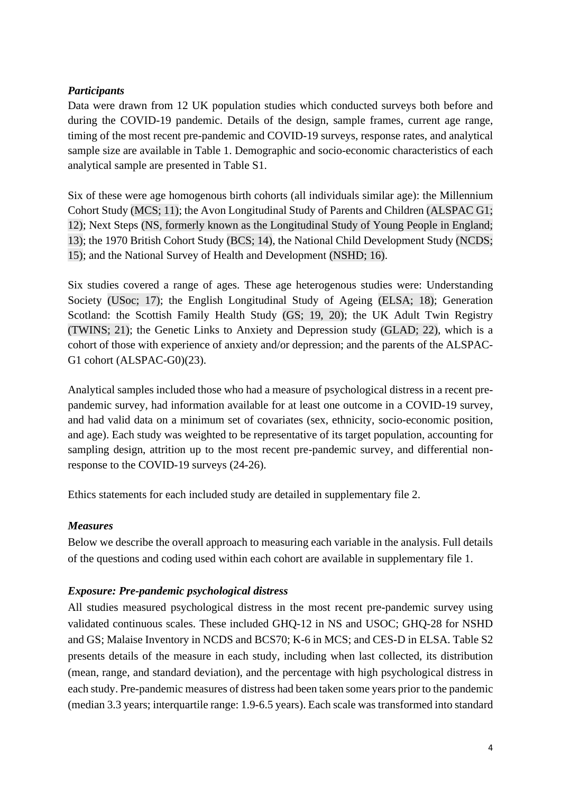## *Participants*

Data were drawn from 12 UK population studies which conducted surveys both before and during the COVID-19 pandemic. Details of the design, sample frames, current age range, timing of the most recent pre-pandemic and COVID-19 surveys, response rates, and analytical sample size are available in Table 1. Demographic and socio-economic characteristics of each analytical sample are presented in Table S1.

Six of these were age homogenous birth cohorts (all individuals similar age): the Millennium Cohort Study (MCS; 11); the Avon Longitudinal Study of Parents and Children (ALSPAC G1; 12); Next Steps (NS, formerly known as the Longitudinal Study of Young People in England; 13); the 1970 British Cohort Study (BCS; 14), the National Child Development Study (NCDS; 15); and the National Survey of Health and Development (NSHD; 16).

Six studies covered a range of ages. These age heterogenous studies were: Understanding Society (USoc; 17); the English Longitudinal Study of Ageing (ELSA; 18); Generation Scotland: the Scottish Family Health Study (GS; 19, 20); the UK Adult Twin Registry (TWINS; 21); the Genetic Links to Anxiety and Depression study (GLAD; 22), which is a cohort of those with experience of anxiety and/or depression; and the parents of the ALSPAC-G1 cohort (ALSPAC-G0)(23).

Analytical samples included those who had a measure of psychological distress in a recent prepandemic survey, had information available for at least one outcome in a COVID-19 survey, and had valid data on a minimum set of covariates (sex, ethnicity, socio-economic position, and age). Each study was weighted to be representative of its target population, accounting for sampling design, attrition up to the most recent pre-pandemic survey, and differential nonresponse to the COVID-19 surveys (24-26).

Ethics statements for each included study are detailed in supplementary file 2.

## *Measures*

Below we describe the overall approach to measuring each variable in the analysis. Full details of the questions and coding used within each cohort are available in supplementary file 1.

## *Exposure: Pre-pandemic psychological distress*

All studies measured psychological distress in the most recent pre-pandemic survey using validated continuous scales. These included GHQ-12 in NS and USOC; GHQ-28 for NSHD and GS; Malaise Inventory in NCDS and BCS70; K-6 in MCS; and CES-D in ELSA. Table S2 presents details of the measure in each study, including when last collected, its distribution (mean, range, and standard deviation), and the percentage with high psychological distress in each study. Pre-pandemic measures of distress had been taken some years prior to the pandemic (median 3.3 years; interquartile range: 1.9-6.5 years). Each scale was transformed into standard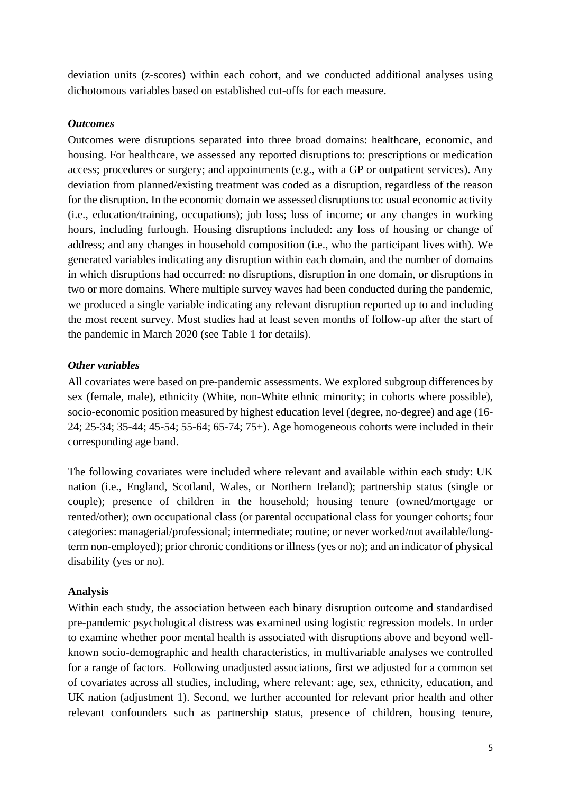deviation units (z-scores) within each cohort, and we conducted additional analyses using dichotomous variables based on established cut-offs for each measure.

#### *Outcomes*

Outcomes were disruptions separated into three broad domains: healthcare, economic, and housing. For healthcare, we assessed any reported disruptions to: prescriptions or medication access; procedures or surgery; and appointments (e.g., with a GP or outpatient services). Any deviation from planned/existing treatment was coded as a disruption, regardless of the reason for the disruption. In the economic domain we assessed disruptions to: usual economic activity (i.e., education/training, occupations); job loss; loss of income; or any changes in working hours, including furlough. Housing disruptions included: any loss of housing or change of address; and any changes in household composition (i.e., who the participant lives with). We generated variables indicating any disruption within each domain, and the number of domains in which disruptions had occurred: no disruptions, disruption in one domain, or disruptions in two or more domains. Where multiple survey waves had been conducted during the pandemic, we produced a single variable indicating any relevant disruption reported up to and including the most recent survey. Most studies had at least seven months of follow-up after the start of the pandemic in March 2020 (see Table 1 for details).

## *Other variables*

All covariates were based on pre-pandemic assessments. We explored subgroup differences by sex (female, male), ethnicity (White, non-White ethnic minority; in cohorts where possible), socio-economic position measured by highest education level (degree, no-degree) and age (16- 24; 25-34; 35-44; 45-54; 55-64; 65-74; 75+). Age homogeneous cohorts were included in their corresponding age band.

The following covariates were included where relevant and available within each study: UK nation (i.e., England, Scotland, Wales, or Northern Ireland); partnership status (single or couple); presence of children in the household; housing tenure (owned/mortgage or rented/other); own occupational class (or parental occupational class for younger cohorts; four categories: managerial/professional; intermediate; routine; or never worked/not available/longterm non-employed); prior chronic conditions or illness (yes or no); and an indicator of physical disability (yes or no).

## **Analysis**

Within each study, the association between each binary disruption outcome and standardised pre-pandemic psychological distress was examined using logistic regression models. In order to examine whether poor mental health is associated with disruptions above and beyond wellknown socio-demographic and health characteristics, in multivariable analyses we controlled for a range of factors. Following unadjusted associations, first we adjusted for a common set of covariates across all studies, including, where relevant: age, sex, ethnicity, education, and UK nation (adjustment 1). Second, we further accounted for relevant prior health and other relevant confounders such as partnership status, presence of children, housing tenure,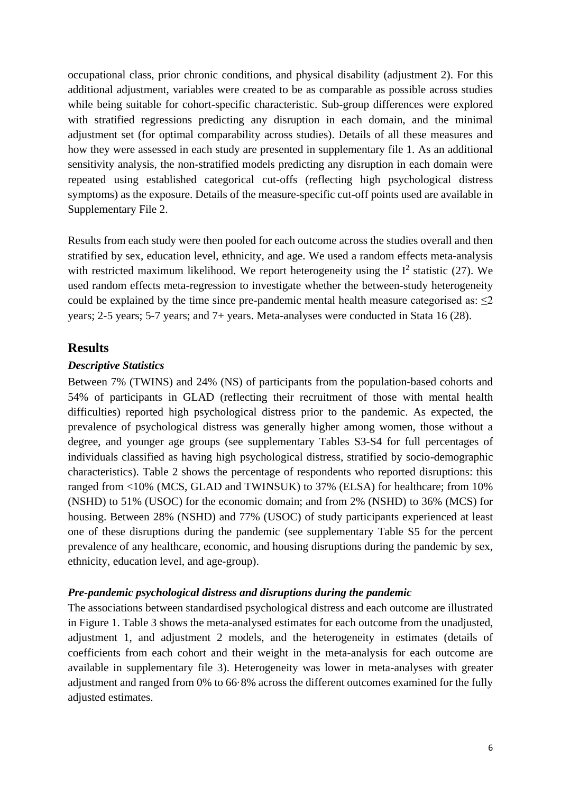occupational class, prior chronic conditions, and physical disability (adjustment 2). For this additional adjustment, variables were created to be as comparable as possible across studies while being suitable for cohort-specific characteristic. Sub-group differences were explored with stratified regressions predicting any disruption in each domain, and the minimal adjustment set (for optimal comparability across studies). Details of all these measures and how they were assessed in each study are presented in supplementary file 1. As an additional sensitivity analysis, the non-stratified models predicting any disruption in each domain were repeated using established categorical cut-offs (reflecting high psychological distress symptoms) as the exposure. Details of the measure-specific cut-off points used are available in Supplementary File 2.

Results from each study were then pooled for each outcome across the studies overall and then stratified by sex, education level, ethnicity, and age. We used a random effects meta-analysis with restricted maximum likelihood. We report heterogeneity using the  $I^2$  statistic (27). We used random effects meta-regression to investigate whether the between-study heterogeneity could be explained by the time since pre-pandemic mental health measure categorised as:  $\leq 2$ years; 2-5 years; 5-7 years; and 7+ years. Meta-analyses were conducted in Stata 16 (28).

## **Results**

#### *Descriptive Statistics*

Between 7% (TWINS) and 24% (NS) of participants from the population-based cohorts and 54% of participants in GLAD (reflecting their recruitment of those with mental health difficulties) reported high psychological distress prior to the pandemic. As expected, the prevalence of psychological distress was generally higher among women, those without a degree, and younger age groups (see supplementary Tables S3-S4 for full percentages of individuals classified as having high psychological distress, stratified by socio-demographic characteristics). Table 2 shows the percentage of respondents who reported disruptions: this ranged from <10% (MCS, GLAD and TWINSUK) to 37% (ELSA) for healthcare; from 10% (NSHD) to 51% (USOC) for the economic domain; and from 2% (NSHD) to 36% (MCS) for housing. Between 28% (NSHD) and 77% (USOC) of study participants experienced at least one of these disruptions during the pandemic (see supplementary Table S5 for the percent prevalence of any healthcare, economic, and housing disruptions during the pandemic by sex, ethnicity, education level, and age-group).

#### *Pre-pandemic psychological distress and disruptions during the pandemic*

The associations between standardised psychological distress and each outcome are illustrated in Figure 1. Table 3 shows the meta-analysed estimates for each outcome from the unadjusted, adjustment 1, and adjustment 2 models, and the heterogeneity in estimates (details of coefficients from each cohort and their weight in the meta-analysis for each outcome are available in supplementary file 3). Heterogeneity was lower in meta-analyses with greater adjustment and ranged from 0% to 66·8% across the different outcomes examined for the fully adjusted estimates.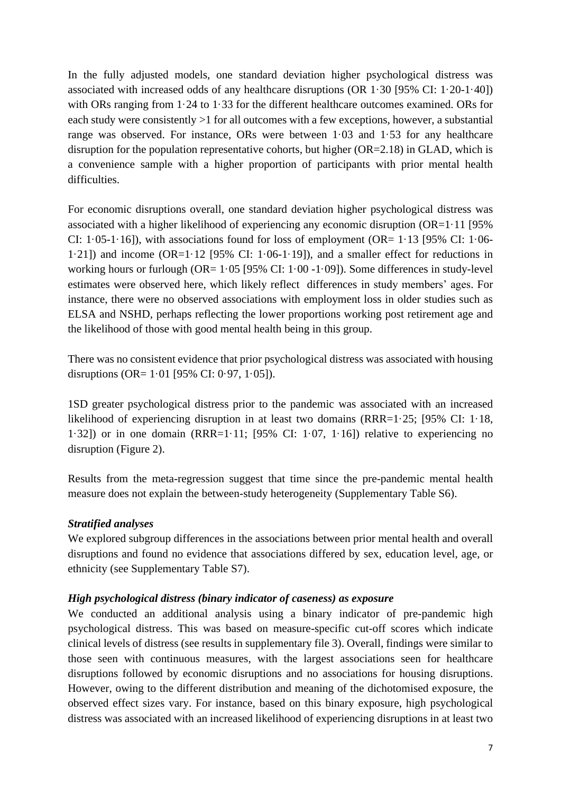In the fully adjusted models, one standard deviation higher psychological distress was associated with increased odds of any healthcare disruptions (OR 1·30 [95% CI: 1·20-1·40]) with ORs ranging from 1.24 to 1.33 for the different healthcare outcomes examined. ORs for each study were consistently >1 for all outcomes with a few exceptions, however, a substantial range was observed. For instance, ORs were between 1·03 and 1·53 for any healthcare disruption for the population representative cohorts, but higher (OR=2.18) in GLAD, which is a convenience sample with a higher proportion of participants with prior mental health difficulties.

For economic disruptions overall, one standard deviation higher psychological distress was associated with a higher likelihood of experiencing any economic disruption (OR=1·11 [95% CI:  $1.05-1.16$ ]), with associations found for loss of employment (OR=  $1.13$  [95% CI:  $1.06-$ 1.21]) and income  $(OR=1.12$  [95% CI: 1.06-1.19]), and a smaller effect for reductions in working hours or furlough (OR=  $1.05$  [95% CI:  $1.00 - 1.09$ ]). Some differences in study-level estimates were observed here, which likely reflect differences in study members' ages. For instance, there were no observed associations with employment loss in older studies such as ELSA and NSHD, perhaps reflecting the lower proportions working post retirement age and the likelihood of those with good mental health being in this group.

There was no consistent evidence that prior psychological distress was associated with housing disruptions (OR=  $1.01$  [95% CI: 0.97, 1.05]).

1SD greater psychological distress prior to the pandemic was associated with an increased likelihood of experiencing disruption in at least two domains (RRR=1·25; [95% CI: 1·18, 1·32]) or in one domain (RRR=1·11; [95% CI: 1·07, 1·16]) relative to experiencing no disruption (Figure 2).

Results from the meta-regression suggest that time since the pre-pandemic mental health measure does not explain the between-study heterogeneity (Supplementary Table S6).

## *Stratified analyses*

We explored subgroup differences in the associations between prior mental health and overall disruptions and found no evidence that associations differed by sex, education level, age, or ethnicity (see Supplementary Table S7).

#### *High psychological distress (binary indicator of caseness) as exposure*

We conducted an additional analysis using a binary indicator of pre-pandemic high psychological distress. This was based on measure-specific cut-off scores which indicate clinical levels of distress (see results in supplementary file 3). Overall, findings were similar to those seen with continuous measures, with the largest associations seen for healthcare disruptions followed by economic disruptions and no associations for housing disruptions. However, owing to the different distribution and meaning of the dichotomised exposure, the observed effect sizes vary. For instance, based on this binary exposure, high psychological distress was associated with an increased likelihood of experiencing disruptions in at least two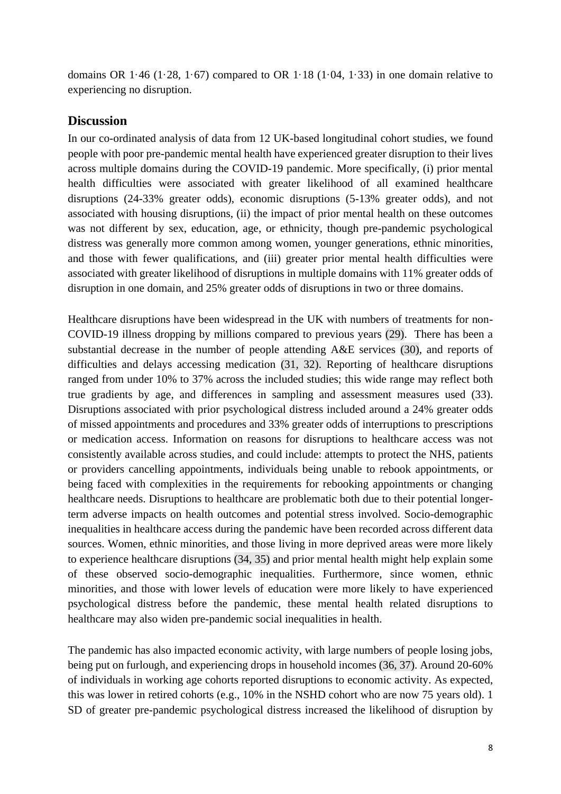domains OR  $1.46$  (1.28, 1.67) compared to OR  $1.18$  (1.04, 1.33) in one domain relative to experiencing no disruption.

## **Discussion**

In our co-ordinated analysis of data from 12 UK-based longitudinal cohort studies, we found people with poor pre-pandemic mental health have experienced greater disruption to their lives across multiple domains during the COVID-19 pandemic. More specifically, (i) prior mental health difficulties were associated with greater likelihood of all examined healthcare disruptions (24-33% greater odds), economic disruptions (5-13% greater odds), and not associated with housing disruptions, (ii) the impact of prior mental health on these outcomes was not different by sex, education, age, or ethnicity, though pre-pandemic psychological distress was generally more common among women, younger generations, ethnic minorities, and those with fewer qualifications, and (iii) greater prior mental health difficulties were associated with greater likelihood of disruptions in multiple domains with 11% greater odds of disruption in one domain, and 25% greater odds of disruptions in two or three domains.

Healthcare disruptions have been widespread in the UK with numbers of treatments for non-COVID-19 illness dropping by millions compared to previous years (29). There has been a substantial decrease in the number of people attending A&E services (30), and reports of difficulties and delays accessing medication (31, 32). Reporting of healthcare disruptions ranged from under 10% to 37% across the included studies; this wide range may reflect both true gradients by age, and differences in sampling and assessment measures used (33). Disruptions associated with prior psychological distress included around a 24% greater odds of missed appointments and procedures and 33% greater odds of interruptions to prescriptions or medication access. Information on reasons for disruptions to healthcare access was not consistently available across studies, and could include: attempts to protect the NHS, patients or providers cancelling appointments, individuals being unable to rebook appointments, or being faced with complexities in the requirements for rebooking appointments or changing healthcare needs. Disruptions to healthcare are problematic both due to their potential longerterm adverse impacts on health outcomes and potential stress involved. Socio-demographic inequalities in healthcare access during the pandemic have been recorded across different data sources. Women, ethnic minorities, and those living in more deprived areas were more likely to experience healthcare disruptions (34, 35) and prior mental health might help explain some of these observed socio-demographic inequalities. Furthermore, since women, ethnic minorities, and those with lower levels of education were more likely to have experienced psychological distress before the pandemic, these mental health related disruptions to healthcare may also widen pre-pandemic social inequalities in health.

The pandemic has also impacted economic activity, with large numbers of people losing jobs, being put on furlough, and experiencing drops in household incomes (36, 37). Around 20-60% of individuals in working age cohorts reported disruptions to economic activity. As expected, this was lower in retired cohorts (e.g., 10% in the NSHD cohort who are now 75 years old). 1 SD of greater pre-pandemic psychological distress increased the likelihood of disruption by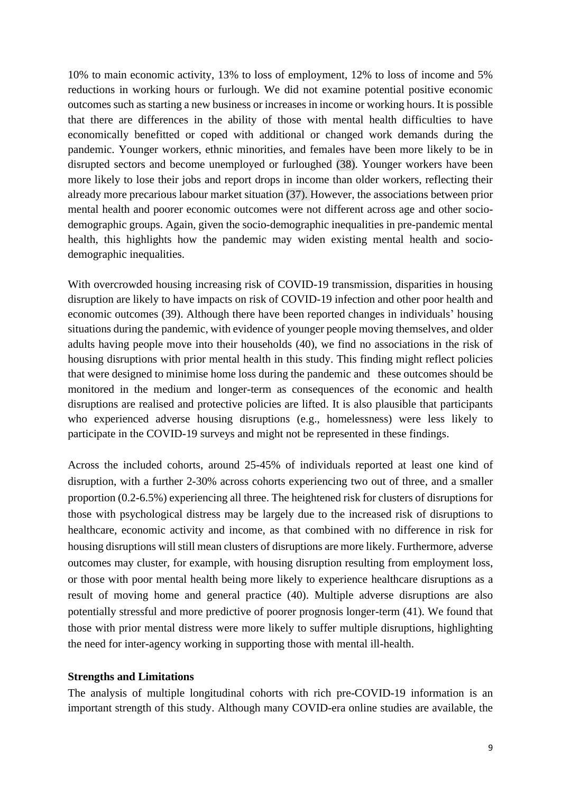10% to main economic activity, 13% to loss of employment, 12% to loss of income and 5% reductions in working hours or furlough. We did not examine potential positive economic outcomes such as starting a new business or increases in income or working hours. It is possible that there are differences in the ability of those with mental health difficulties to have economically benefitted or coped with additional or changed work demands during the pandemic. Younger workers, ethnic minorities, and females have been more likely to be in disrupted sectors and become unemployed or furloughed (38). Younger workers have been more likely to lose their jobs and report drops in income than older workers, reflecting their already more precarious labour market situation (37). However, the associations between prior mental health and poorer economic outcomes were not different across age and other sociodemographic groups. Again, given the socio-demographic inequalities in pre-pandemic mental health, this highlights how the pandemic may widen existing mental health and sociodemographic inequalities.

With overcrowded housing increasing risk of COVID-19 transmission, disparities in housing disruption are likely to have impacts on risk of COVID-19 infection and other poor health and economic outcomes (39). Although there have been reported changes in individuals' housing situations during the pandemic, with evidence of younger people moving themselves, and older adults having people move into their households (40), we find no associations in the risk of housing disruptions with prior mental health in this study. This finding might reflect policies that were designed to minimise home loss during the pandemic and these outcomes should be monitored in the medium and longer-term as consequences of the economic and health disruptions are realised and protective policies are lifted. It is also plausible that participants who experienced adverse housing disruptions (e.g., homelessness) were less likely to participate in the COVID-19 surveys and might not be represented in these findings.

Across the included cohorts, around 25-45% of individuals reported at least one kind of disruption, with a further 2-30% across cohorts experiencing two out of three, and a smaller proportion (0.2-6.5%) experiencing all three. The heightened risk for clusters of disruptions for those with psychological distress may be largely due to the increased risk of disruptions to healthcare, economic activity and income, as that combined with no difference in risk for housing disruptions will still mean clusters of disruptions are more likely. Furthermore, adverse outcomes may cluster, for example, with housing disruption resulting from employment loss, or those with poor mental health being more likely to experience healthcare disruptions as a result of moving home and general practice (40). Multiple adverse disruptions are also potentially stressful and more predictive of poorer prognosis longer-term (41). We found that those with prior mental distress were more likely to suffer multiple disruptions, highlighting the need for inter-agency working in supporting those with mental ill-health.

#### **Strengths and Limitations**

The analysis of multiple longitudinal cohorts with rich pre-COVID-19 information is an important strength of this study. Although many COVID-era online studies are available, the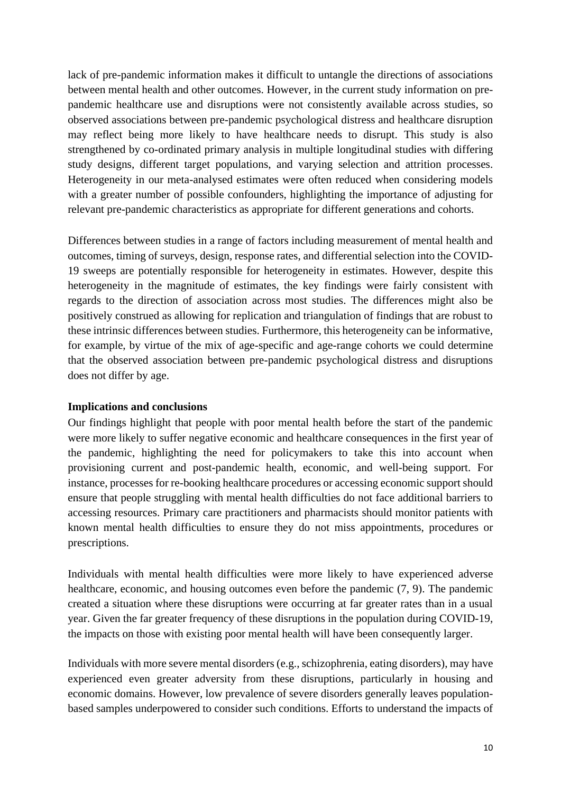lack of pre-pandemic information makes it difficult to untangle the directions of associations between mental health and other outcomes. However, in the current study information on prepandemic healthcare use and disruptions were not consistently available across studies, so observed associations between pre-pandemic psychological distress and healthcare disruption may reflect being more likely to have healthcare needs to disrupt. This study is also strengthened by co-ordinated primary analysis in multiple longitudinal studies with differing study designs, different target populations, and varying selection and attrition processes. Heterogeneity in our meta-analysed estimates were often reduced when considering models with a greater number of possible confounders, highlighting the importance of adjusting for relevant pre-pandemic characteristics as appropriate for different generations and cohorts.

Differences between studies in a range of factors including measurement of mental health and outcomes, timing of surveys, design, response rates, and differential selection into the COVID-19 sweeps are potentially responsible for heterogeneity in estimates. However, despite this heterogeneity in the magnitude of estimates, the key findings were fairly consistent with regards to the direction of association across most studies. The differences might also be positively construed as allowing for replication and triangulation of findings that are robust to these intrinsic differences between studies. Furthermore, this heterogeneity can be informative, for example, by virtue of the mix of age-specific and age-range cohorts we could determine that the observed association between pre-pandemic psychological distress and disruptions does not differ by age.

## **Implications and conclusions**

Our findings highlight that people with poor mental health before the start of the pandemic were more likely to suffer negative economic and healthcare consequences in the first year of the pandemic, highlighting the need for policymakers to take this into account when provisioning current and post-pandemic health, economic, and well-being support. For instance, processes for re-booking healthcare procedures or accessing economic support should ensure that people struggling with mental health difficulties do not face additional barriers to accessing resources. Primary care practitioners and pharmacists should monitor patients with known mental health difficulties to ensure they do not miss appointments, procedures or prescriptions.

Individuals with mental health difficulties were more likely to have experienced adverse healthcare, economic, and housing outcomes even before the pandemic  $(7, 9)$ . The pandemic created a situation where these disruptions were occurring at far greater rates than in a usual year. Given the far greater frequency of these disruptions in the population during COVID-19, the impacts on those with existing poor mental health will have been consequently larger.

Individuals with more severe mental disorders (e.g., schizophrenia, eating disorders), may have experienced even greater adversity from these disruptions, particularly in housing and economic domains. However, low prevalence of severe disorders generally leaves populationbased samples underpowered to consider such conditions. Efforts to understand the impacts of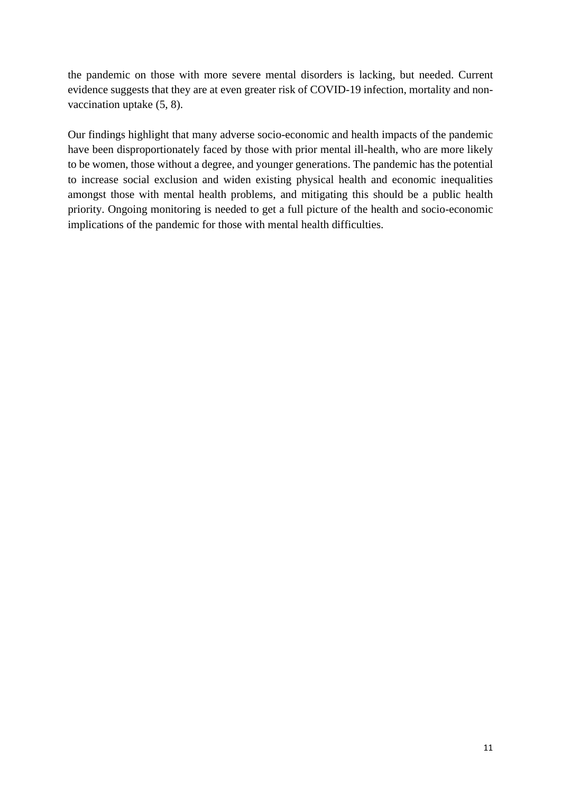the pandemic on those with more severe mental disorders is lacking, but needed. Current evidence suggests that they are at even greater risk of COVID-19 infection, mortality and nonvaccination uptake (5, 8).

Our findings highlight that many adverse socio-economic and health impacts of the pandemic have been disproportionately faced by those with prior mental ill-health, who are more likely to be women, those without a degree, and younger generations. The pandemic has the potential to increase social exclusion and widen existing physical health and economic inequalities amongst those with mental health problems, and mitigating this should be a public health priority. Ongoing monitoring is needed to get a full picture of the health and socio-economic implications of the pandemic for those with mental health difficulties.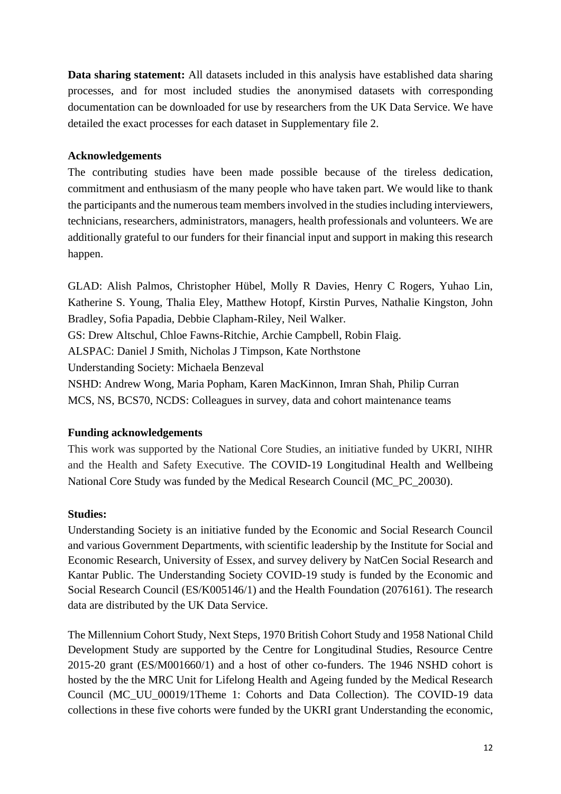**Data sharing statement:** All datasets included in this analysis have established data sharing processes, and for most included studies the anonymised datasets with corresponding documentation can be downloaded for use by researchers from the UK Data Service. We have detailed the exact processes for each dataset in Supplementary file 2.

## **Acknowledgements**

The contributing studies have been made possible because of the tireless dedication, commitment and enthusiasm of the many people who have taken part. We would like to thank the participants and the numerous team members involved in the studies including interviewers, technicians, researchers, administrators, managers, health professionals and volunteers. We are additionally grateful to our funders for their financial input and support in making this research happen.

GLAD: Alish Palmos, Christopher Hübel, Molly R Davies, Henry C Rogers, Yuhao Lin, Katherine S. Young, Thalia Eley, Matthew Hotopf, Kirstin Purves, Nathalie Kingston, John Bradley, Sofia Papadia, Debbie Clapham-Riley, Neil Walker. GS: Drew Altschul, Chloe Fawns-Ritchie, Archie Campbell, Robin Flaig. ALSPAC: Daniel J Smith, Nicholas J Timpson, Kate Northstone Understanding Society: Michaela Benzeval NSHD: Andrew Wong, Maria Popham, Karen MacKinnon, Imran Shah, Philip Curran

MCS, NS, BCS70, NCDS: Colleagues in survey, data and cohort maintenance teams

# **Funding acknowledgements**

This work was supported by the National Core Studies, an initiative funded by UKRI, NIHR and the Health and Safety Executive. The COVID-19 Longitudinal Health and Wellbeing National Core Study was funded by the Medical Research Council (MC\_PC\_20030).

## **Studies:**

Understanding Society is an initiative funded by the Economic and Social Research Council and various Government Departments, with scientific leadership by the Institute for Social and Economic Research, University of Essex, and survey delivery by NatCen Social Research and Kantar Public. The Understanding Society COVID-19 study is funded by the Economic and Social Research Council (ES/K005146/1) and the Health Foundation (2076161). The research data are distributed by the UK Data Service.

The Millennium Cohort Study, Next Steps, 1970 British Cohort Study and 1958 National Child Development Study are supported by the Centre for Longitudinal Studies, Resource Centre 2015-20 grant (ES/M001660/1) and a host of other co-funders. The 1946 NSHD cohort is hosted by the the MRC Unit for Lifelong Health and Ageing funded by the Medical Research Council (MC\_UU\_00019/1Theme 1: Cohorts and Data Collection). The COVID-19 data collections in these five cohorts were funded by the UKRI grant Understanding the economic,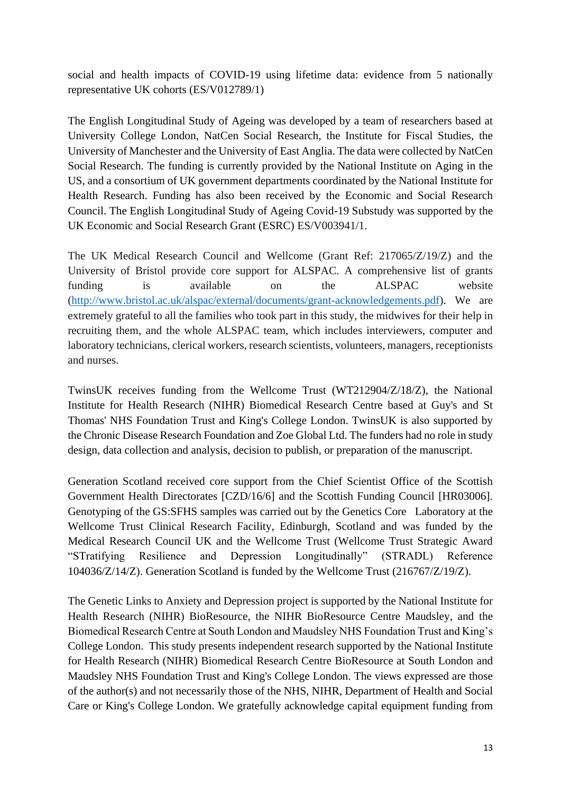social and health impacts of COVID-19 using lifetime data: evidence from 5 nationally representative UK cohorts (ES/V012789/1)

The English Longitudinal Study of Ageing was developed by a team of researchers based at University College London, NatCen Social Research, the Institute for Fiscal Studies, the University of Manchester and the University of East Anglia. The data were collected by NatCen Social Research. The funding is currently provided by the National Institute on Aging in the US, and a consortium of UK government departments coordinated by the National Institute for Health Research. Funding has also been received by the Economic and Social Research Council. The English Longitudinal Study of Ageing Covid-19 Substudy was supported by the UK Economic and Social Research Grant (ESRC) ES/V003941/1.

The UK Medical Research Council and Wellcome (Grant Ref: 217065/Z/19/Z) and the University of Bristol provide core support for ALSPAC. A comprehensive list of grants funding is available on the ALSPAC website [\(http://www.bristol.ac.uk/alspac/external/documents/grant-acknowledgements.pdf\)](http://www.bristol.ac.uk/alspac/external/documents/grant-acknowledgements.pdf). We are extremely grateful to all the families who took part in this study, the midwives for their help in recruiting them, and the whole ALSPAC team, which includes interviewers, computer and laboratory technicians, clerical workers, research scientists, volunteers, managers, receptionists and nurses.

TwinsUK receives funding from the Wellcome Trust (WT212904/Z/18/Z), the National Institute for Health Research (NIHR) Biomedical Research Centre based at Guy's and St Thomas' NHS Foundation Trust and King's College London. TwinsUK is also supported by the Chronic Disease Research Foundation and Zoe Global Ltd. The funders had no role in study design, data collection and analysis, decision to publish, or preparation of the manuscript.

Generation Scotland received core support from the Chief Scientist Office of the Scottish Government Health Directorates [CZD/16/6] and the Scottish Funding Council [HR03006]. Genotyping of the GS:SFHS samples was carried out by the Genetics Core Laboratory at the Wellcome Trust Clinical Research Facility, Edinburgh, Scotland and was funded by the Medical Research Council UK and the Wellcome Trust (Wellcome Trust Strategic Award "STratifying Resilience and Depression Longitudinally" (STRADL) Reference 104036/Z/14/Z). Generation Scotland is funded by the Wellcome Trust (216767/Z/19/Z).

The Genetic Links to Anxiety and Depression project is supported by the National Institute for Health Research (NIHR) BioResource, the NIHR BioResource Centre Maudsley, and the Biomedical Research Centre at South London and Maudsley NHS Foundation Trust and King's College London. This study presents independent research supported by the National Institute for Health Research (NIHR) Biomedical Research Centre BioResource at South London and Maudsley NHS Foundation Trust and King's College London. The views expressed are those of the author(s) and not necessarily those of the NHS, NIHR, Department of Health and Social Care or King's College London. We gratefully acknowledge capital equipment funding from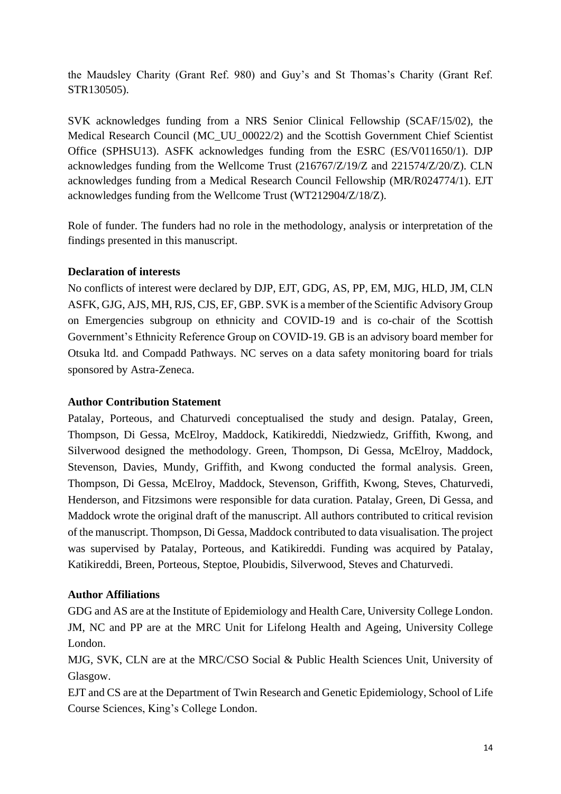the Maudsley Charity (Grant Ref. 980) and Guy's and St Thomas's Charity (Grant Ref. STR130505).

SVK acknowledges funding from a NRS Senior Clinical Fellowship (SCAF/15/02), the Medical Research Council (MC\_UU\_00022/2) and the Scottish Government Chief Scientist Office (SPHSU13). ASFK acknowledges funding from the ESRC (ES/V011650/1). DJP acknowledges funding from the Wellcome Trust (216767/Z/19/Z and 221574/Z/20/Z). CLN acknowledges funding from a Medical Research Council Fellowship (MR/R024774/1). EJT acknowledges funding from the Wellcome Trust (WT212904/Z/18/Z).

Role of funder. The funders had no role in the methodology, analysis or interpretation of the findings presented in this manuscript.

## **Declaration of interests**

No conflicts of interest were declared by DJP, EJT, GDG, AS, PP, EM, MJG, HLD, JM, CLN ASFK, GJG, AJS, MH, RJS, CJS, EF, GBP. SVK is a member of the Scientific Advisory Group on Emergencies subgroup on ethnicity and COVID-19 and is co-chair of the Scottish Government's Ethnicity Reference Group on COVID-19. GB is an advisory board member for Otsuka ltd. and Compadd Pathways. NC serves on a data safety monitoring board for trials sponsored by Astra-Zeneca.

#### **Author Contribution Statement**

Patalay, Porteous, and Chaturvedi conceptualised the study and design. Patalay, Green, Thompson, Di Gessa, McElroy, Maddock, Katikireddi, Niedzwiedz, Griffith, Kwong, and Silverwood designed the methodology. Green, Thompson, Di Gessa, McElroy, Maddock, Stevenson, Davies, Mundy, Griffith, and Kwong conducted the formal analysis. Green, Thompson, Di Gessa, McElroy, Maddock, Stevenson, Griffith, Kwong, Steves, Chaturvedi, Henderson, and Fitzsimons were responsible for data curation. Patalay, Green, Di Gessa, and Maddock wrote the original draft of the manuscript. All authors contributed to critical revision of the manuscript. Thompson, Di Gessa, Maddock contributed to data visualisation. The project was supervised by Patalay, Porteous, and Katikireddi. Funding was acquired by Patalay, Katikireddi, Breen, Porteous, Steptoe, Ploubidis, Silverwood, Steves and Chaturvedi.

## **Author Affiliations**

GDG and AS are at the Institute of Epidemiology and Health Care, University College London. JM, NC and PP are at the MRC Unit for Lifelong Health and Ageing, University College London.

MJG, SVK, CLN are at the MRC/CSO Social & Public Health Sciences Unit, University of Glasgow.

EJT and CS are at the Department of Twin Research and Genetic Epidemiology, School of Life Course Sciences, King's College London.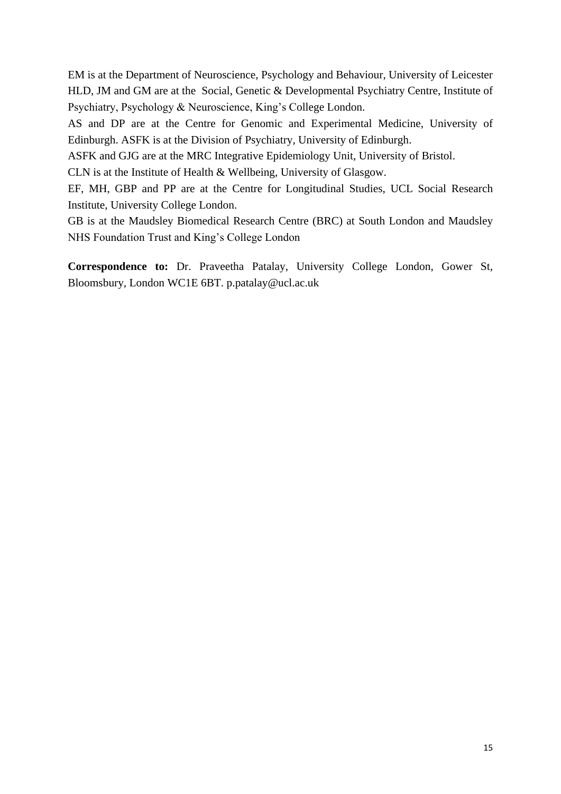EM is at the Department of Neuroscience, Psychology and Behaviour, University of Leicester HLD, JM and GM are at the Social, Genetic & Developmental Psychiatry Centre, Institute of Psychiatry, Psychology & Neuroscience, King's College London.

AS and DP are at the Centre for Genomic and Experimental Medicine, University of Edinburgh. ASFK is at the Division of Psychiatry, University of Edinburgh.

ASFK and GJG are at the MRC Integrative Epidemiology Unit, University of Bristol.

CLN is at the Institute of Health & Wellbeing, University of Glasgow.

EF, MH, GBP and PP are at the Centre for Longitudinal Studies, UCL Social Research Institute, University College London.

GB is at the Maudsley Biomedical Research Centre (BRC) at South London and Maudsley NHS Foundation Trust and King's College London

**Correspondence to:** Dr. Praveetha Patalay, University College London, Gower St, Bloomsbury, London WC1E 6BT. p.patalay@ucl.ac.uk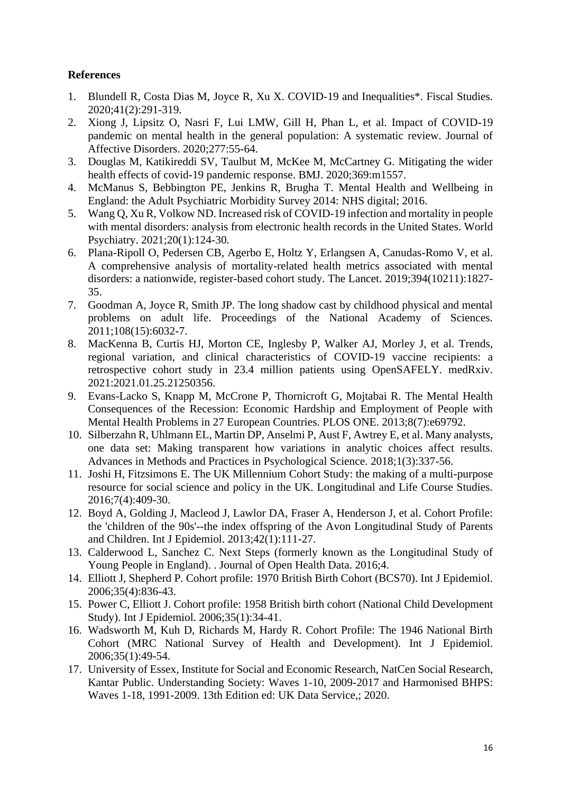## **References**

- 1. Blundell R, Costa Dias M, Joyce R, Xu X. COVID-19 and Inequalities\*. Fiscal Studies. 2020;41(2):291-319.
- 2. Xiong J, Lipsitz O, Nasri F, Lui LMW, Gill H, Phan L, et al. Impact of COVID-19 pandemic on mental health in the general population: A systematic review. Journal of Affective Disorders. 2020;277:55-64.
- 3. Douglas M, Katikireddi SV, Taulbut M, McKee M, McCartney G. Mitigating the wider health effects of covid-19 pandemic response. BMJ. 2020:369:m1557.
- 4. McManus S, Bebbington PE, Jenkins R, Brugha T. Mental Health and Wellbeing in England: the Adult Psychiatric Morbidity Survey 2014: NHS digital; 2016.
- 5. Wang Q, Xu R, Volkow ND. Increased risk of COVID-19 infection and mortality in people with mental disorders: analysis from electronic health records in the United States. World Psychiatry. 2021;20(1):124-30.
- 6. Plana-Ripoll O, Pedersen CB, Agerbo E, Holtz Y, Erlangsen A, Canudas-Romo V, et al. A comprehensive analysis of mortality-related health metrics associated with mental disorders: a nationwide, register-based cohort study. The Lancet. 2019;394(10211):1827- 35.
- 7. Goodman A, Joyce R, Smith JP. The long shadow cast by childhood physical and mental problems on adult life. Proceedings of the National Academy of Sciences. 2011;108(15):6032-7.
- 8. MacKenna B, Curtis HJ, Morton CE, Inglesby P, Walker AJ, Morley J, et al. Trends, regional variation, and clinical characteristics of COVID-19 vaccine recipients: a retrospective cohort study in 23.4 million patients using OpenSAFELY. medRxiv. 2021:2021.01.25.21250356.
- 9. Evans-Lacko S, Knapp M, McCrone P, Thornicroft G, Mojtabai R. The Mental Health Consequences of the Recession: Economic Hardship and Employment of People with Mental Health Problems in 27 European Countries. PLOS ONE. 2013;8(7):e69792.
- 10. Silberzahn R, Uhlmann EL, Martin DP, Anselmi P, Aust F, Awtrey E, et al. Many analysts, one data set: Making transparent how variations in analytic choices affect results. Advances in Methods and Practices in Psychological Science. 2018;1(3):337-56.
- 11. Joshi H, Fitzsimons E. The UK Millennium Cohort Study: the making of a multi-purpose resource for social science and policy in the UK. Longitudinal and Life Course Studies. 2016;7(4):409-30.
- 12. Boyd A, Golding J, Macleod J, Lawlor DA, Fraser A, Henderson J, et al. Cohort Profile: the 'children of the 90s'--the index offspring of the Avon Longitudinal Study of Parents and Children. Int J Epidemiol. 2013;42(1):111-27.
- 13. Calderwood L, Sanchez C. Next Steps (formerly known as the Longitudinal Study of Young People in England). . Journal of Open Health Data. 2016;4.
- 14. Elliott J, Shepherd P. Cohort profile: 1970 British Birth Cohort (BCS70). Int J Epidemiol. 2006;35(4):836-43.
- 15. Power C, Elliott J. Cohort profile: 1958 British birth cohort (National Child Development Study). Int J Epidemiol. 2006;35(1):34-41.
- 16. Wadsworth M, Kuh D, Richards M, Hardy R. Cohort Profile: The 1946 National Birth Cohort (MRC National Survey of Health and Development). Int J Epidemiol. 2006;35(1):49-54.
- 17. University of Essex, Institute for Social and Economic Research, NatCen Social Research, Kantar Public. Understanding Society: Waves 1-10, 2009-2017 and Harmonised BHPS: Waves 1-18, 1991-2009. 13th Edition ed: UK Data Service,; 2020.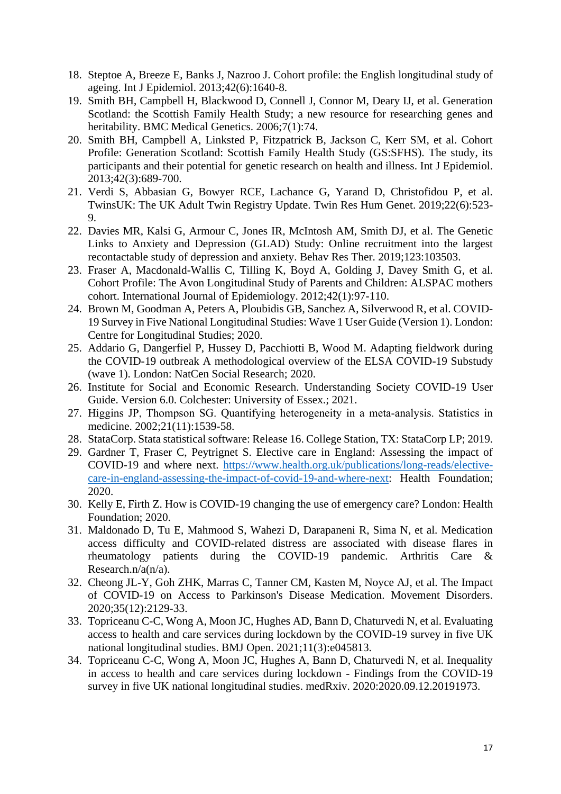- 18. Steptoe A, Breeze E, Banks J, Nazroo J. Cohort profile: the English longitudinal study of ageing. Int J Epidemiol. 2013;42(6):1640-8.
- 19. Smith BH, Campbell H, Blackwood D, Connell J, Connor M, Deary IJ, et al. Generation Scotland: the Scottish Family Health Study; a new resource for researching genes and heritability. BMC Medical Genetics. 2006;7(1):74.
- 20. Smith BH, Campbell A, Linksted P, Fitzpatrick B, Jackson C, Kerr SM, et al. Cohort Profile: Generation Scotland: Scottish Family Health Study (GS:SFHS). The study, its participants and their potential for genetic research on health and illness. Int J Epidemiol. 2013;42(3):689-700.
- 21. Verdi S, Abbasian G, Bowyer RCE, Lachance G, Yarand D, Christofidou P, et al. TwinsUK: The UK Adult Twin Registry Update. Twin Res Hum Genet. 2019;22(6):523- 9.
- 22. Davies MR, Kalsi G, Armour C, Jones IR, McIntosh AM, Smith DJ, et al. The Genetic Links to Anxiety and Depression (GLAD) Study: Online recruitment into the largest recontactable study of depression and anxiety. Behav Res Ther. 2019;123:103503.
- 23. Fraser A, Macdonald-Wallis C, Tilling K, Boyd A, Golding J, Davey Smith G, et al. Cohort Profile: The Avon Longitudinal Study of Parents and Children: ALSPAC mothers cohort. International Journal of Epidemiology. 2012;42(1):97-110.
- 24. Brown M, Goodman A, Peters A, Ploubidis GB, Sanchez A, Silverwood R, et al. COVID-19 Survey in Five National Longitudinal Studies: Wave 1 User Guide (Version 1). London: Centre for Longitudinal Studies; 2020.
- 25. Addario G, Dangerfiel P, Hussey D, Pacchiotti B, Wood M. Adapting fieldwork during the COVID-19 outbreak A methodological overview of the ELSA COVID-19 Substudy (wave 1). London: NatCen Social Research; 2020.
- 26. Institute for Social and Economic Research. Understanding Society COVID-19 User Guide. Version 6.0. Colchester: University of Essex.; 2021.
- 27. Higgins JP, Thompson SG. Quantifying heterogeneity in a meta‐analysis. Statistics in medicine. 2002;21(11):1539-58.
- 28. StataCorp. Stata statistical software: Release 16. College Station, TX: StataCorp LP; 2019.
- 29. Gardner T, Fraser C, Peytrignet S. Elective care in England: Assessing the impact of COVID-19 and where next. [https://www.health.org.uk/publications/long-reads/elective](https://www.health.org.uk/publications/long-reads/elective-care-in-england-assessing-the-impact-of-covid-19-and-where-next)[care-in-england-assessing-the-impact-of-covid-19-and-where-next:](https://www.health.org.uk/publications/long-reads/elective-care-in-england-assessing-the-impact-of-covid-19-and-where-next) Health Foundation; 2020.
- 30. Kelly E, Firth Z. How is COVID-19 changing the use of emergency care? London: Health Foundation; 2020.
- 31. Maldonado D, Tu E, Mahmood S, Wahezi D, Darapaneni R, Sima N, et al. Medication access difficulty and COVID-related distress are associated with disease flares in rheumatology patients during the COVID-19 pandemic. Arthritis Care & Research.n/a(n/a).
- 32. Cheong JL-Y, Goh ZHK, Marras C, Tanner CM, Kasten M, Noyce AJ, et al. The Impact of COVID-19 on Access to Parkinson's Disease Medication. Movement Disorders. 2020;35(12):2129-33.
- 33. Topriceanu C-C, Wong A, Moon JC, Hughes AD, Bann D, Chaturvedi N, et al. Evaluating access to health and care services during lockdown by the COVID-19 survey in five UK national longitudinal studies. BMJ Open. 2021;11(3):e045813.
- 34. Topriceanu C-C, Wong A, Moon JC, Hughes A, Bann D, Chaturvedi N, et al. Inequality in access to health and care services during lockdown - Findings from the COVID-19 survey in five UK national longitudinal studies. medRxiv. 2020:2020.09.12.20191973.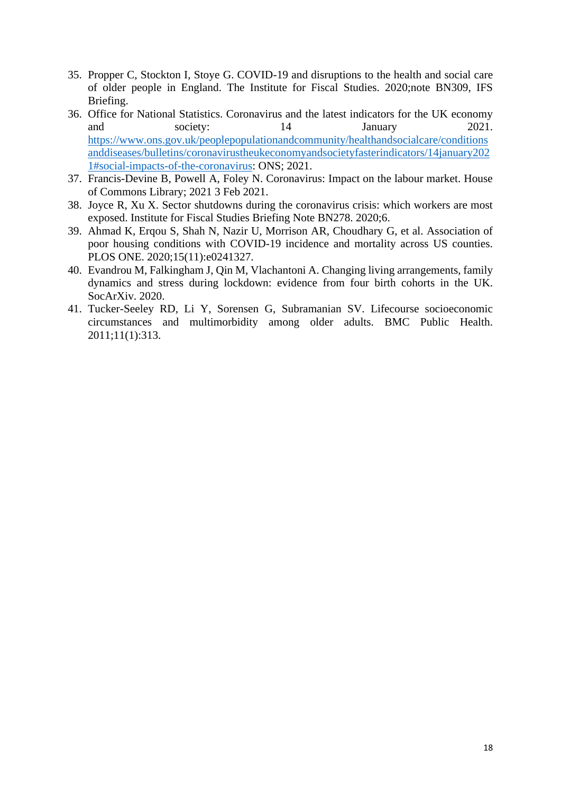- 35. Propper C, Stockton I, Stoye G. COVID-19 and disruptions to the health and social care of older people in England. The Institute for Fiscal Studies. 2020;note BN309, IFS Briefing.
- 36. Office for National Statistics. Coronavirus and the latest indicators for the UK economy and society: 14 January 2021. [https://www.ons.gov.uk/peoplepopulationandcommunity/healthandsocialcare/conditions](https://www.ons.gov.uk/peoplepopulationandcommunity/healthandsocialcare/conditionsanddiseases/bulletins/coronavirustheukeconomyandsocietyfasterindicators/14january2021#social-impacts-of-the-coronavirus) [anddiseases/bulletins/coronavirustheukeconomyandsocietyfasterindicators/14january202](https://www.ons.gov.uk/peoplepopulationandcommunity/healthandsocialcare/conditionsanddiseases/bulletins/coronavirustheukeconomyandsocietyfasterindicators/14january2021#social-impacts-of-the-coronavirus) [1#social-impacts-of-the-coronavirus:](https://www.ons.gov.uk/peoplepopulationandcommunity/healthandsocialcare/conditionsanddiseases/bulletins/coronavirustheukeconomyandsocietyfasterindicators/14january2021#social-impacts-of-the-coronavirus) ONS; 2021.
- 37. Francis-Devine B, Powell A, Foley N. Coronavirus: Impact on the labour market. House of Commons Library; 2021 3 Feb 2021.
- 38. Joyce R, Xu X. Sector shutdowns during the coronavirus crisis: which workers are most exposed. Institute for Fiscal Studies Briefing Note BN278. 2020;6.
- 39. Ahmad K, Erqou S, Shah N, Nazir U, Morrison AR, Choudhary G, et al. Association of poor housing conditions with COVID-19 incidence and mortality across US counties. PLOS ONE. 2020;15(11):e0241327.
- 40. Evandrou M, Falkingham J, Qin M, Vlachantoni A. Changing living arrangements, family dynamics and stress during lockdown: evidence from four birth cohorts in the UK. SocArXiv. 2020.
- 41. Tucker-Seeley RD, Li Y, Sorensen G, Subramanian SV. Lifecourse socioeconomic circumstances and multimorbidity among older adults. BMC Public Health. 2011;11(1):313.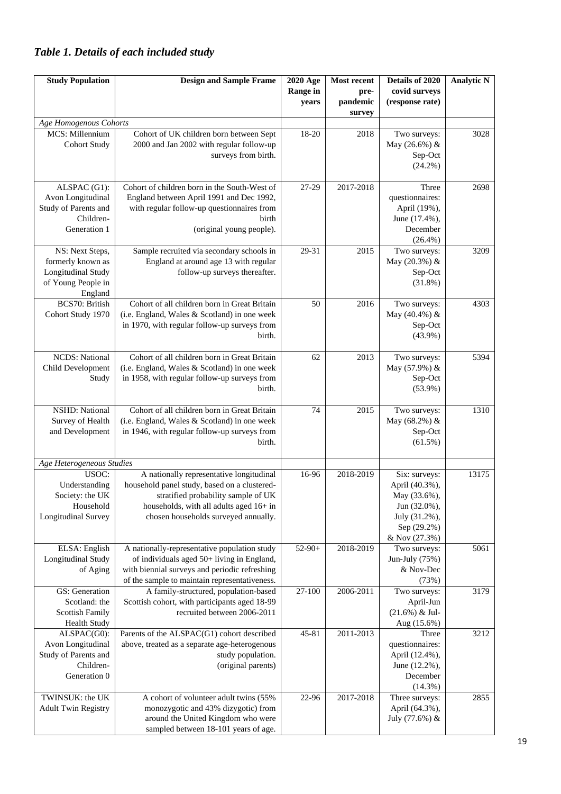# *Table 1. Details of each included study*

| <b>Study Population</b>                                                                     | <b>Design and Sample Frame</b>                                                                                                                                                                                     | 2020 Age<br><b>Range in</b><br>years | Most recent<br>pre-<br>pandemic | Details of 2020<br>covid surveys<br>(response rate)                                                              | <b>Analytic N</b> |
|---------------------------------------------------------------------------------------------|--------------------------------------------------------------------------------------------------------------------------------------------------------------------------------------------------------------------|--------------------------------------|---------------------------------|------------------------------------------------------------------------------------------------------------------|-------------------|
| Age Homogenous Cohorts                                                                      |                                                                                                                                                                                                                    |                                      | survey                          |                                                                                                                  |                   |
| MCS: Millennium<br><b>Cohort Study</b>                                                      | Cohort of UK children born between Sept<br>2000 and Jan 2002 with regular follow-up<br>surveys from birth.                                                                                                         | 18-20                                | 2018                            | Two surveys:<br>May (26.6%) &<br>Sep-Oct<br>$(24.2\%)$                                                           | 3028              |
| ALSPAC (G1):<br>Avon Longitudinal<br>Study of Parents and<br>Children-<br>Generation 1      | Cohort of children born in the South-West of<br>England between April 1991 and Dec 1992,<br>with regular follow-up questionnaires from<br>birth<br>(original young people).                                        | 27-29<br>29-31                       | 2017-2018                       | Three<br>questionnaires:<br>April (19%),<br>June (17.4%),<br>December<br>$(26.4\%)$                              | 2698              |
| NS: Next Steps,<br>formerly known as<br>Longitudinal Study<br>of Young People in<br>England | Sample recruited via secondary schools in<br>England at around age 13 with regular<br>follow-up surveys thereafter.                                                                                                |                                      | 2015                            | Two surveys:<br>May (20.3%) &<br>Sep-Oct<br>$(31.8\%)$                                                           | 3209              |
| <b>BCS70: British</b><br>Cohort Study 1970                                                  | Cohort of all children born in Great Britain<br>(i.e. England, Wales & Scotland) in one week<br>in 1970, with regular follow-up surveys from<br>birth.                                                             | 50                                   | 2016                            | Two surveys:<br>May (40.4%) &<br>Sep-Oct<br>$(43.9\%)$                                                           | 4303              |
| <b>NCDS:</b> National<br>Child Development<br>Study                                         | Cohort of all children born in Great Britain<br>(i.e. England, Wales & Scotland) in one week<br>in 1958, with regular follow-up surveys from<br>birth.                                                             | 62                                   | 2013                            | Two surveys:<br>May (57.9%) &<br>Sep-Oct<br>$(53.9\%)$                                                           | 5394              |
| <b>NSHD:</b> National<br>Survey of Health<br>and Development                                | Cohort of all children born in Great Britain<br>(i.e. England, Wales & Scotland) in one week<br>in 1946, with regular follow-up surveys from<br>birth.                                                             | 74                                   | 2015                            | Two surveys:<br>May (68.2%) &<br>Sep-Oct<br>$(61.5\%)$                                                           | 1310              |
| Age Heterogeneous Studies                                                                   |                                                                                                                                                                                                                    |                                      |                                 |                                                                                                                  |                   |
| USOC:<br>Understanding<br>Society: the UK<br>Household<br>Longitudinal Survey               | A nationally representative longitudinal<br>household panel study, based on a clustered-<br>stratified probability sample of UK<br>households, with all adults aged 16+ in<br>chosen households surveyed annually. | 16-96                                | 2018-2019                       | Six: surveys:<br>April (40.3%),<br>May (33.6%),<br>Jun (32.0%),<br>July (31.2%),<br>Sep (29.2%)<br>& Nov (27.3%) | 13175             |
| ELSA: English<br>Longitudinal Study<br>of Aging                                             | A nationally-representative population study<br>of individuals aged 50+ living in England,<br>with biennial surveys and periodic refreshing<br>of the sample to maintain representativeness.                       | $52-90+$                             | 2018-2019                       | Two surveys:<br>Jun-July (75%)<br>& Nov-Dec<br>(73%)                                                             | 5061              |
| GS: Generation<br>Scotland: the<br><b>Scottish Family</b><br><b>Health Study</b>            | A family-structured, population-based<br>Scottish cohort, with participants aged 18-99<br>recruited between 2006-2011                                                                                              | 27-100                               | 2006-2011                       | Two surveys:<br>April-Jun<br>$(21.6\%) \&$ Jul-<br>Aug (15.6%)                                                   | 3179              |
| ALSPAC(G0):<br>Avon Longitudinal<br>Study of Parents and<br>Children-<br>Generation 0       | Parents of the ALSPAC(G1) cohort described<br>above, treated as a separate age-heterogenous<br>study population.<br>(original parents)                                                                             | 45-81                                | 2011-2013                       | Three<br>questionnaires:<br>April (12.4%),<br>June (12.2%),<br>December<br>$(14.3\%)$                            | 3212              |
| TWINSUK: the UK<br><b>Adult Twin Registry</b>                                               | A cohort of volunteer adult twins (55%<br>monozygotic and 43% dizygotic) from<br>around the United Kingdom who were<br>sampled between 18-101 years of age.                                                        | 22-96                                | 2017-2018                       | Three surveys:<br>April (64.3%),<br>July (77.6%) &                                                               | 2855              |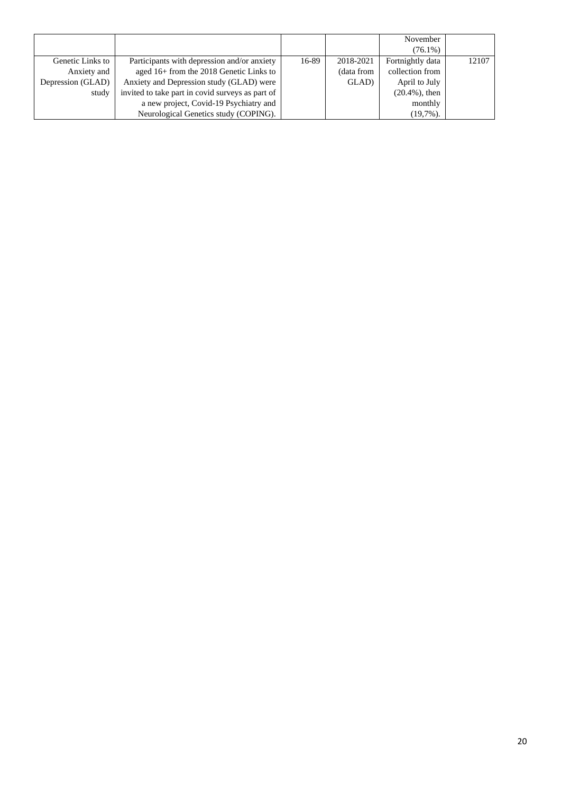|                   |                                                  |       |            | November          |       |
|-------------------|--------------------------------------------------|-------|------------|-------------------|-------|
|                   |                                                  |       |            | $(76.1\%)$        |       |
| Genetic Links to  | Participants with depression and/or anxiety      | 16-89 | 2018-2021  | Fortnightly data  | 12107 |
| Anxiety and       | aged 16+ from the 2018 Genetic Links to          |       | (data from | collection from   |       |
| Depression (GLAD) | Anxiety and Depression study (GLAD) were         |       | GLAD)      | April to July     |       |
| study             | invited to take part in covid surveys as part of |       |            | $(20.4\%)$ , then |       |
|                   | a new project, Covid-19 Psychiatry and           |       |            | monthly           |       |
|                   | Neurological Genetics study (COPING).            |       |            | $(19,7\%)$ .      |       |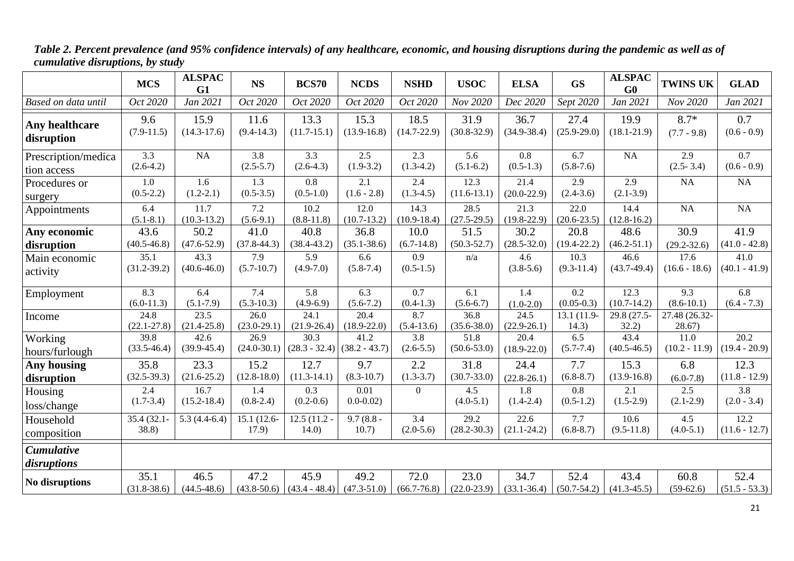|                                    | <b>MCS</b>              | <b>ALSPAC</b><br>G1                  | <b>NS</b>             | <b>BCS70</b>                        | <b>NCDS</b>                          | <b>NSHD</b>             | <b>USOC</b>             | <b>ELSA</b>                          | <b>GS</b>               | <b>ALSPAC</b><br>G0     | <b>TWINS UK</b>         | <b>GLAD</b>                       |
|------------------------------------|-------------------------|--------------------------------------|-----------------------|-------------------------------------|--------------------------------------|-------------------------|-------------------------|--------------------------------------|-------------------------|-------------------------|-------------------------|-----------------------------------|
| Based on data until                | Oct 2020                | Jan 2021                             | Oct 2020              | Oct 2020                            | Oct 2020                             | Oct 2020                | Nov 2020                | Dec 2020                             | Sept 2020               | Jan 2021                | Nov 2020                | Jan 2021                          |
| Any healthcare                     | 9.6                     | 15.9                                 | 11.6                  | 13.3                                | 15.3                                 | 18.5                    | 31.9                    | 36.7                                 | 27.4                    | 19.9                    | $8.7*$                  | 0.7                               |
| disruption                         | $(7.9-11.5)$            | $(14.3 - 17.6)$                      | $(9.4 - 14.3)$        | $(11.7 - 15.1)$                     | $(13.9 - 16.8)$                      | $(14.7 - 22.9)$         | $(30.8 - 32.9)$         | $(34.9 - 38.4)$                      | $(25.9 - 29.0)$         | $(18.1 - 21.9)$         | $(7.7 - 9.8)$           | $(0.6 - 0.9)$                     |
| Prescription/medica<br>tion access | 3.3<br>$(2.6-4.2)$      | <b>NA</b>                            | 3.8<br>$(2.5 - 5.7)$  | 3.3<br>$(2.6-4.3)$                  | 2.5<br>$(1.9-3.2)$                   | 2.3<br>$(1.3-4.2)$      | 5.6<br>$(5.1-6.2)$      | 0.8<br>$(0.5-1.3)$                   | 6.7<br>$(5.8 - 7.6)$    | NA                      | 2.9<br>$(2.5 - 3.4)$    | $\overline{0.7}$<br>$(0.6 - 0.9)$ |
| Procedures or<br>surgery           | 1.0<br>$(0.5 - 2.2)$    | 1.6<br>$(1.2 - 2.1)$                 | 1.3<br>$(0.5 - 3.5)$  | 0.8<br>$(0.5-1.0)$                  | 2.1<br>$(1.6 - 2.8)$                 | 2.4<br>$(1.3-4.5)$      | 12.3<br>$(11.6-13.1)$   | 21.4<br>$(20.0 - 22.9)$              | 2.9<br>$(2.4 - 3.6)$    | 2.9<br>$(2.1 - 3.9)$    | NA                      | NA                                |
| Appointments                       | 6.4<br>$(5.1 - 8.1)$    | 11.7<br>$(10.3 - 13.2)$              | 7.2<br>$(5.6-9.1)$    | 10.2<br>$(8.8 - 11.8)$              | 12.0<br>$(10.7-13.2)$                | 14.3<br>$(10.9 - 18.4)$ | 28.5<br>$(27.5 - 29.5)$ | 21.3<br>$(19.8 - 22.9)$              | 22.0<br>$(20.6 - 23.5)$ | 14.4<br>$(12.8 - 16.2)$ | <b>NA</b>               | NA                                |
| Any economic                       | 43.6                    | 50.2                                 | 41.0                  | 40.8                                | 36.8                                 | 10.0                    | 51.5                    | 30.2                                 | 20.8                    | 48.6                    | 30.9                    | 41.9                              |
| disruption                         | $(40.5 - 46.8)$         | $(47.6 - 52.9)$                      | $(37.8 - 44.3)$       | $(38.4 - 43.2)$                     | $(35.1 - 38.6)$                      | $(6.7-14.8)$            | $(50.3 - 52.7)$         | $(28.5 - 32.0)$                      | $(19.4 - 22.2)$         | $(46.2 - 51.1)$         | $(29.2 - 32.6)$         | $(41.0 - 42.8)$                   |
| Main economic                      | 35.1                    | 43.3                                 | 7.9                   | $\overline{5.9}$                    | 6.6                                  | $\overline{0.9}$        | n/a                     | 4.6                                  | 10.3                    | 46.6                    | 17.6                    | 41.0                              |
| activity                           | $(31.2 - 39.2)$         | $(40.6 - 46.0)$                      | $(5.7 - 10.7)$        | $(4.9 - 7.0)$                       | $(5.8 - 7.4)$                        | $(0.5-1.5)$             |                         | $(3.8-5.6)$                          | $(9.3 - 11.4)$          | $(43.7-49.4)$           | $(16.6 - 18.6)$         | $(40.1 - 41.9)$                   |
| Employment                         | 8.3                     | 6.4                                  | 7.4                   | 5.8                                 | 6.3                                  | $\overline{0.7}$        | 6.1                     | 1.4                                  | 0.2                     | 12.3                    | 9.3                     | 6.8                               |
|                                    | $(6.0-11.3)$            | $(5.1 - 7.9)$                        | $(5.3 - 10.3)$        | $(4.9-6.9)$                         | $(5.6 - 7.2)$                        | $(0.4-1.3)$             | $(5.6 - 6.7)$           | $(1.0-2.0)$                          | $(0.05 - 0.3)$          | $(10.7 - 14.2)$         | $(8.6 - 10.1)$          | $(6.4 - 7.3)$                     |
| Income                             | 24.8<br>$(22.1 - 27.8)$ | $\overline{23.5}$<br>$(21.4 - 25.8)$ | 26.0<br>$(23.0-29.1)$ | 24.1<br>$(21.9 - 26.4)$             | $\overline{20.4}$<br>$(18.9 - 22.0)$ | 8.7<br>$(5.4 - 13.6)$   | 36.8<br>$(35.6 - 38.0)$ | $\overline{24.5}$<br>$(22.9 - 26.1)$ | 13.1 (11.9-<br>14.3)    | 29.8 (27.5-<br>32.2)    | 27.48 (26.32-<br>28.67) |                                   |
| Working                            | 39.8                    | 42.6                                 | 26.9                  | 30.3                                | 41.2                                 | 3.8                     | 51.8                    | 20.4                                 | 6.5                     | 43.4                    | 11.0                    | $\overline{20.2}$                 |
| hours/furlough                     | $(33.5 - 46.4)$         | $(39.9 - 45.4)$                      | $(24.0 - 30.1)$       | $(28.3 - 32.4)$                     | $(38.2 - 43.7)$                      | $(2.6 - 5.5)$           | $(50.6 - 53.0)$         | $(18.9 - 22.0)$                      | $(5.7 - 7.4)$           | $(40.5 - 46.5)$         | $(10.2 - 11.9)$         | $(19.4 - 20.9)$                   |
| Any housing                        | 35.8                    | 23.3                                 | 15.2                  | 12.7                                | 9.7                                  | 2.2                     | 31.8                    | 24.4                                 | 7.7                     | 15.3                    | 6.8                     | 12.3                              |
| disruption                         | $(32.5 - 39.3)$         | $(21.6 - 25.2)$                      | $(12.8 - 18.0)$       | $(11.3-14.1)$                       | $(8.3 - 10.7)$                       | $(1.3 - 3.7)$           | $(30.7 - 33.0)$         | $(22.8 - 26.1)$                      | $(6.8 - 8.7)$           | $(13.9 - 16.8)$         | $(6.0 - 7.8)$           | $(11.8 - 12.9)$                   |
| Housing                            | 2.4                     | 16.7                                 | 1.4                   | 0.3                                 | 0.01                                 | $\boldsymbol{0}$        | 4.5                     | 1.8                                  | 0.8                     | 2.1                     | 2.5                     | 3.8                               |
| loss/change                        | $(1.7-3.4)$             | $(15.2 - 18.4)$                      | $(0.8-2.4)$           | $(0.2 - 0.6)$                       | $0.0 - 0.02$                         |                         | $(4.0-5.1)$             | $(1.4 - 2.4)$                        | $(0.5-1.2)$             | $(1.5-2.9)$             | $(2.1-2.9)$             | $(2.0 - 3.4)$                     |
| Household                          | 35.4(32.1)              | $5.3(4.4-6.4)$                       | 15.1 (12.6-           | $\overline{12.5}$ (11.2 -           | $9.7(8.8 -$                          | $\overline{3.4}$        | 29.2                    | $\overline{22.6}$                    | 7.7                     | 10.6                    | 4.5                     | 12.2                              |
| composition                        | 38.8)                   |                                      | 17.9)                 | 14.0)                               | 10.7)                                | $(2.0-5.6)$             | $(28.2 - 30.3)$         | $(21.1 - 24.2)$                      | $(6.8 - 8.7)$           | $(9.5 - 11.8)$          | $(4.0-5.1)$             | $(11.6 - 12.7)$                   |
| <b>Cumulative</b><br>disruptions   |                         |                                      |                       |                                     |                                      |                         |                         |                                      |                         |                         |                         |                                   |
| No disruptions                     | 35.1<br>$(31.8 - 38.6)$ | 46.5<br>$(44.5 - 48.6)$              | 47.2                  | 45.9<br>$(43.8-50.6)$ $(43.4-48.4)$ | 49.2<br>$(47.3 - 51.0)$              | 72.0<br>$(66.7 - 76.8)$ | 23.0<br>$(22.0-23.9)$   | 34.7<br>$(33.1 - 36.4)$              | 52.4<br>$(50.7 - 54.2)$ | 43.4<br>$(41.3 - 45.5)$ | 60.8<br>$(59-62.6)$     | 52.4<br>$(51.5 - 53.3)$           |

*Table 2. Percent prevalence (and 95% confidence intervals) of any healthcare, economic, and housing disruptions during the pandemic as well as of cumulative disruptions, by study*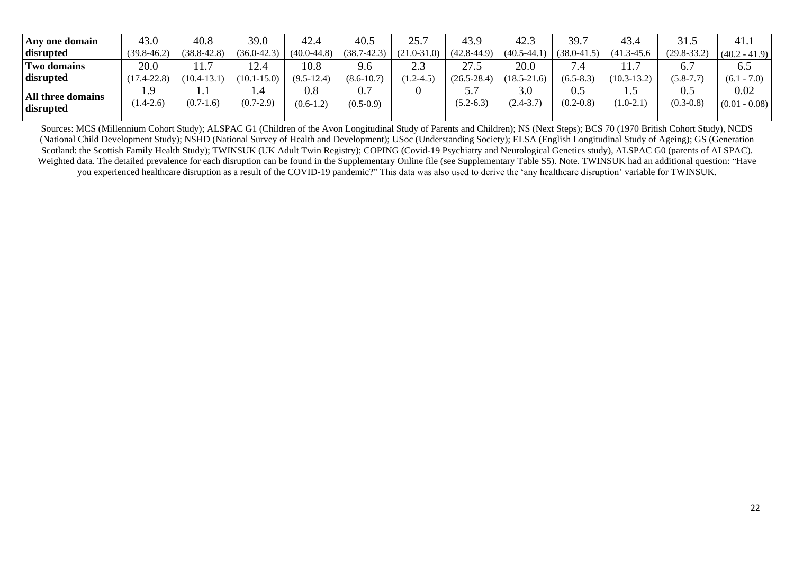| Any one domain                 | 43.0                 | 40.8            | 39.0                      | 42.4               | 40.5                   | 25.7            | 43.9            | 42.3                 | 39.7                 | 43.4            | 31.5                 | 41.1                    |
|--------------------------------|----------------------|-----------------|---------------------------|--------------------|------------------------|-----------------|-----------------|----------------------|----------------------|-----------------|----------------------|-------------------------|
| disrupted                      | $(39.8 - 46.2)$      | $(38.8 - 42.8)$ | $(36.0 - 42.3)$           | $(40.0 - 44.8)$    | $(38.7 - 42.3)$        | $(21.0 - 31.0)$ | $(42.8 - 44.9)$ | $(40.5 - 44)$        | $(38.0 - 41.5)$      | $(41.3 - 45.6)$ | $(29.8 - 33.2)$      | $(40.2 - 41.9)$         |
| <b>Two domains</b>             | 20.0                 | 11.1            | 12.4                      | 10.8               | 9.6                    | 2.3             | 27.5            | 20.0                 | 7.4                  |                 | 6.7                  | 6.5                     |
| disrupted                      | $(17.4 - 22.8)$      | $(10.4 - 13.1)$ | $(10.1 - 15.0)$           | $(9.5-12.4)$       | $(8.6 - 10.7)$         | $(1.2 - 4.5)$   | $(26.5 - 28.4)$ | $(18.5 - 21.6)$      | $(6.5 - 8.3)$        | $(10.3 - 13.2)$ | $(5.8 - 7.7)$        | $(6.1 - 7.0)$           |
| All three domains<br>disrupted | . 9<br>$(1.4 - 2.6)$ | $(0.7-1.6)$     | $\cdot$ .4<br>$(0.7-2.9)$ | 0.8<br>$(0.6-1.2)$ | $0.7\,$<br>$(0.5-0.9)$ |                 | $(5.2 - 6.3)$   | 3.0<br>$(2.4 - 3.7)$ | 0.5<br>$(0.2 - 0.8)$ | $(1.0-2.1)$     | 0.5<br>$(0.3 - 0.8)$ | 0.02<br>$(0.01 - 0.08)$ |

Sources: MCS (Millennium Cohort Study); ALSPAC G1 (Children of the Avon Longitudinal Study of Parents and Children); NS (Next Steps); BCS 70 (1970 British Cohort Study), NCDS (National Child Development Study); NSHD (National Survey of Health and Development); USoc (Understanding Society); ELSA (English Longitudinal Study of Ageing); GS (Generation Scotland: the Scottish Family Health Study); TWINSUK (UK Adult Twin Registry); COPING (Covid-19 Psychiatry and Neurological Genetics study), ALSPAC G0 (parents of ALSPAC). Weighted data. The detailed prevalence for each disruption can be found in the Supplementary Online file (see Supplementary Table S5). Note. TWINSUK had an additional question: "Have you experienced healthcare disruption as a result of the COVID-19 pandemic?" This data was also used to derive the 'any healthcare disruption' variable for TWINSUK.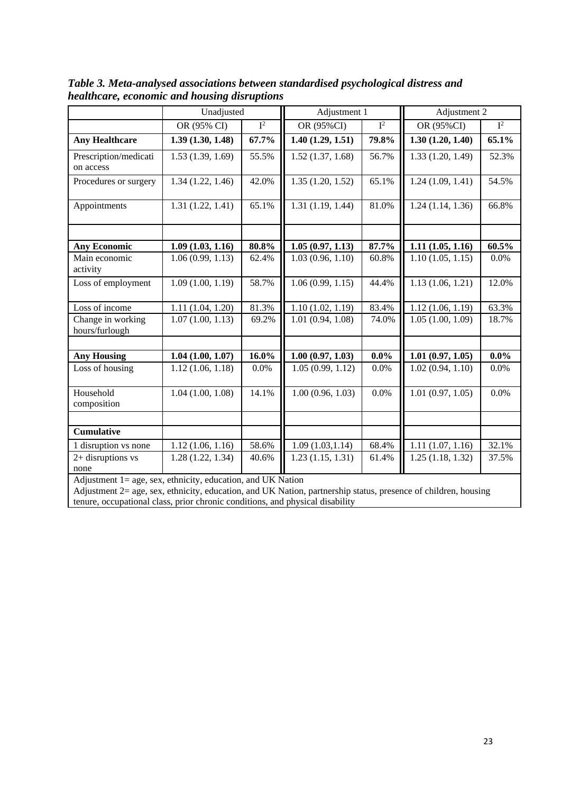|                                                               | Unadjusted       |                | Adjustment 1                   |         | Adjustment 2     |                  |  |
|---------------------------------------------------------------|------------------|----------------|--------------------------------|---------|------------------|------------------|--|
|                                                               | OR (95% CI)      | $\mathbf{I}^2$ | OR (95%CI)                     | $I^2$   | OR (95%CI)       | $\overline{I^2}$ |  |
| <b>Any Healthcare</b>                                         | 1.39(1.30, 1.48) | 67.7%          | 1.40(1.29, 1.51)               | 79.8%   | 1.30(1.20, 1.40) | 65.1%            |  |
| Prescription/medicati<br>on access                            | 1.53(1.39, 1.69) | 55.5%          | 1.52(1.37, 1.68)               | 56.7%   | 1.33(1.20, 1.49) | 52.3%            |  |
| Procedures or surgery                                         | 1.34(1.22, 1.46) | 42.0%          | 1.35(1.20, 1.52)               | 65.1%   | 1.24(1.09, 1.41) | 54.5%            |  |
| Appointments                                                  | 1.31(1.22, 1.41) | 65.1%          | 1.31(1.19, 1.44)               | 81.0%   | 1.24(1.14, 1.36) | 66.8%            |  |
|                                                               |                  |                |                                |         |                  |                  |  |
| <b>Any Economic</b>                                           | 1.09(1.03, 1.16) | 80.8%          | 1.05(0.97, 1.13)               | 87.7%   | 1.11(1.05, 1.16) | 60.5%            |  |
| Main economic<br>activity                                     | 1.06(0.99, 1.13) | 62.4%          | 1.03(0.96, 1.10)               | 60.8%   | 1.10(1.05, 1.15) | 0.0%             |  |
| Loss of employment                                            | 1.09(1.00, 1.19) | 58.7%          | 1.06(0.99, 1.15)               | 44.4%   | 1.13(1.06, 1.21) | 12.0%            |  |
| Loss of income                                                | 1.11(1.04, 1.20) | 81.3%          | 1.10(1.02, 1.19)               | 83.4%   | 1.12(1.06, 1.19) | 63.3%            |  |
| Change in working<br>hours/furlough                           | 1.07(1.00, 1.13) | 69.2%          | $\overline{1.01}$ (0.94, 1.08) | 74.0%   | 1.05(1.00, 1.09) | 18.7%            |  |
|                                                               |                  |                |                                |         |                  |                  |  |
| <b>Any Housing</b>                                            | 1.04(1.00, 1.07) | $16.0\%$       | 1.00(0.97, 1.03)               | $0.0\%$ | 1.01(0.97, 1.05) | $0.0\%$          |  |
| Loss of housing                                               | 1.12(1.06, 1.18) | 0.0%           | 1.05(0.99, 1.12)               | $0.0\%$ | 1.02(0.94, 1.10) | $0.0\%$          |  |
| Household<br>composition                                      | 1.04(1.00, 1.08) | 14.1%          | 1.00(0.96, 1.03)               | 0.0%    | 1.01(0.97, 1.05) | 0.0%             |  |
|                                                               |                  |                |                                |         |                  |                  |  |
| <b>Cumulative</b>                                             |                  |                |                                |         |                  |                  |  |
| 1 disruption vs none                                          | 1.12(1.06, 1.16) | 58.6%          | 1.09(1.03, 1.14)               | 68.4%   | 1.11(1.07, 1.16) | 32.1%            |  |
| 2+ disruptions vs<br>none                                     | 1.28(1.22, 1.34) | 40.6%          | 1.23(1.15, 1.31)               | 61.4%   | 1.25(1.18, 1.32) | 37.5%            |  |
| Adjustment $1 - 90e$ sex ethnicity education and $I K$ Nation |                  |                |                                |         |                  |                  |  |

*Table 3. Meta-analysed associations between standardised psychological distress and healthcare, economic and housing disruptions* 

stment 1= age, sex, ethnicity, education, and UK Nation

Adjustment 2= age, sex, ethnicity, education, and UK Nation, partnership status, presence of children, housing tenure, occupational class, prior chronic conditions, and physical disability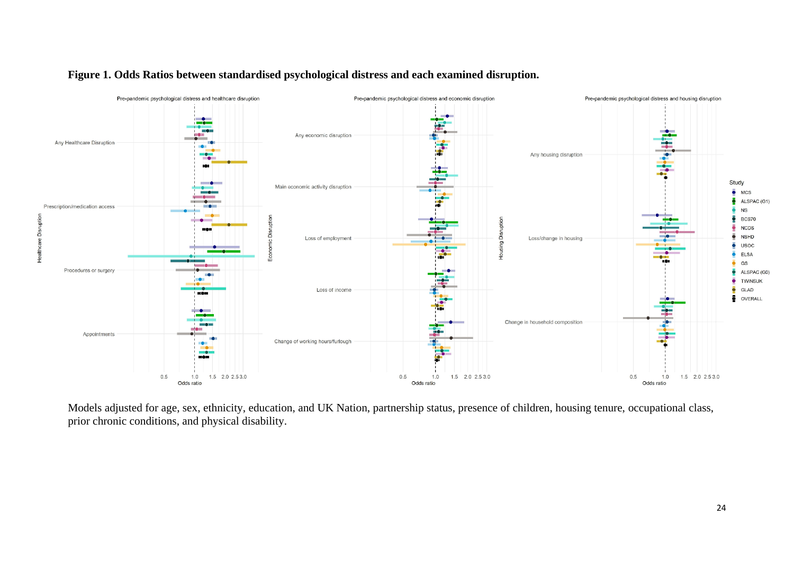

## **Figure 1. Odds Ratios between standardised psychological distress and each examined disruption.**

Models adjusted for age, sex, ethnicity, education, and UK Nation, partnership status, presence of children, housing tenure, occupational class, prior chronic conditions, and physical disability.